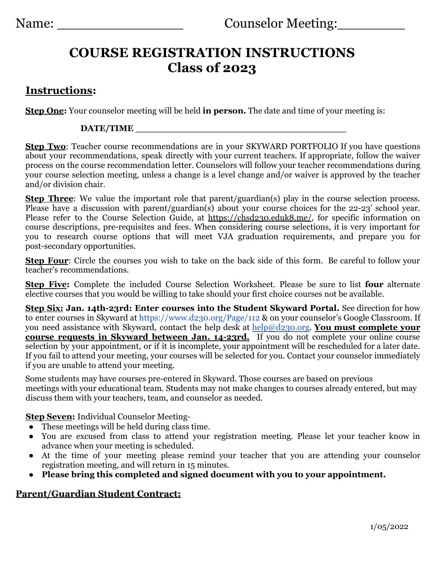## **COURSE REGISTRATION INSTRUCTIONS Class of 2023**

## **Instructions:**

**Step One:** Your counselor meeting will be held **in person.** The date and time of your meeting is:

## **DATE/TIME \_\_\_\_\_\_\_\_\_\_\_\_\_\_\_\_\_\_\_\_\_\_\_\_\_\_\_\_\_\_\_\_\_\_\_\_**

**Step Two**: Teacher course recommendations are in your SKYWARD PORTFOLIO If you have questions about your recommendations, speak directly with your current teachers. If appropriate, follow the waiver process on the course recommendation letter. Counselors will follow your teacher recommendations during your course selection meeting, unless a change is a level change and/or waiver is approved by the teacher and/or division chair.

**Step Three**: We value the important role that parent/guardian(s) play in the course selection process. Please have a discussion with parent/guardian(s) about your course choices for the 22-23' school year. Please refer to the Course Selection Guide, at [https://chsd230.eduk8.me/,](https://chsd230.eduk8.me/) for specific information on course descriptions, pre-requisites and fees. When considering course selections, it is very important for you to research course options that will meet VJA graduation requirements, and prepare you for post-secondary opportunities.

**Step Four:** Circle the courses you wish to take on the back side of this form. Be careful to follow your teacher's recommendations.

**Step Five:** Complete the included Course Selection Worksheet. Please be sure to list **four** alternate elective courses that you would be willing to take should your first choice courses not be available.

**Step Six: Jan. 14th-23rd: Enter courses into the Student Skyward Portal.** See direction for how to enter courses in Skyward at <https://www.d230.org/Page/112> & on your counselor's Google Classroom. If you need assistance with Skyward, contact the help desk at [help@d230.org.](mailto:help@d230.org) **You must complete your course requests in Skyward between Jan. 14-23rd.** If you do not complete your online course selection by your appointment, or if it is incomplete, your appointment will be rescheduled for a later date. If you fail to attend your meeting, your courses will be selected for you. Contact your counselor immediately if you are unable to attend your meeting.

Some students may have courses pre-entered in Skyward. Those courses are based on previous meetings with your educational team. Students may not make changes to courses already entered, but may discuss them with your teachers, team, and counselor as needed.

**Step Seven:** Individual Counselor Meeting-

- These meetings will be held during class time.
- You are excused from class to attend your registration meeting. Please let your teacher know in advance when your meeting is scheduled.
- At the time of your meeting please remind your teacher that you are attending your counselor registration meeting, and will return in 15 minutes.
- **● Please bring this completed and signed document with you to your appointment.**

## **Parent/Guardian Student Contract:**